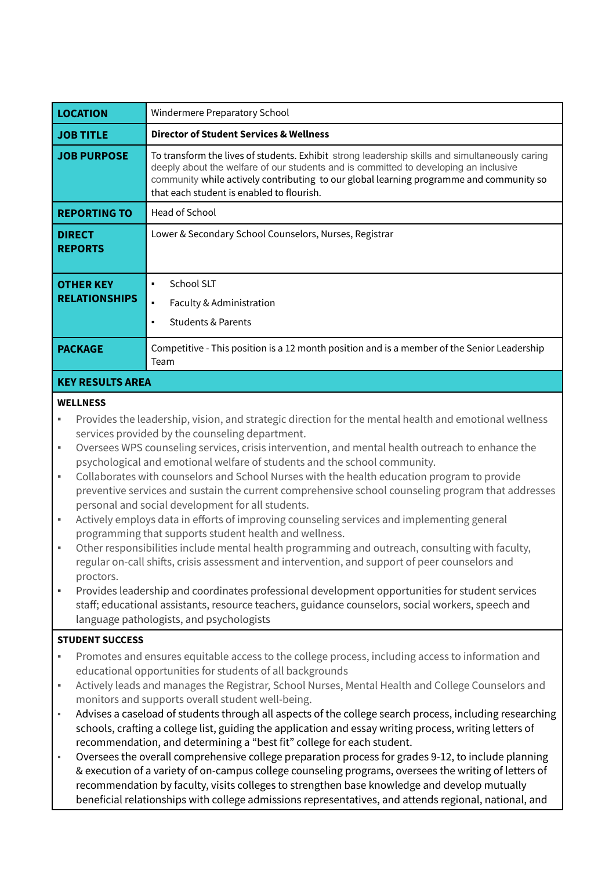| <b>LOCATION</b>                          | Windermere Preparatory School                                                                                                                                                                                                                                                                                                  |  |
|------------------------------------------|--------------------------------------------------------------------------------------------------------------------------------------------------------------------------------------------------------------------------------------------------------------------------------------------------------------------------------|--|
| <b>JOB TITLE</b>                         | <b>Director of Student Services &amp; Wellness</b>                                                                                                                                                                                                                                                                             |  |
| <b>JOB PURPOSE</b>                       | To transform the lives of students. Exhibit strong leadership skills and simultaneously caring<br>deeply about the welfare of our students and is committed to developing an inclusive<br>community while actively contributing to our global learning programme and community so<br>that each student is enabled to flourish. |  |
| <b>REPORTING TO</b>                      | Head of School                                                                                                                                                                                                                                                                                                                 |  |
| <b>DIRECT</b><br><b>REPORTS</b>          | Lower & Secondary School Counselors, Nurses, Registrar                                                                                                                                                                                                                                                                         |  |
| <b>OTHER KEY</b><br><b>RELATIONSHIPS</b> | School SLT<br>٠<br>Faculty & Administration<br>$\blacksquare$<br><b>Students &amp; Parents</b><br>$\blacksquare$                                                                                                                                                                                                               |  |
| <b>PACKAGE</b>                           | Competitive - This position is a 12 month position and is a member of the Senior Leadership<br>Team                                                                                                                                                                                                                            |  |
| <b>KEY RESULTS AREA</b>                  |                                                                                                                                                                                                                                                                                                                                |  |

#### **WELLNESS**

- Provides the leadership, vision, and strategic direction for the mental health and emotional wellness services provided by the counseling department.
- Oversees WPS counseling services, crisis intervention, and mental health outreach to enhance the psychological and emotional welfare of students and the school community.
- Collaborates with counselors and School Nurses with the health education program to provide preventive services and sustain the current comprehensive school counseling program that addresses personal and social development for all students.
- Actively employs data in efforts of improving counseling services and implementing general programming that supports student health and wellness.
- Other responsibilities include mental health programming and outreach, consulting with faculty, regular on-call shifts, crisis assessment and intervention, and support of peer counselors and proctors.
- Provides leadership and coordinates professional development opportunities for student services staff; educational assistants, resource teachers, guidance counselors, social workers, speech and language pathologists, and psychologists

## **STUDENT SUCCESS**

- Promotes and ensures equitable access to the college process, including access to information and educational opportunities for students of all backgrounds
- Actively leads and manages the Registrar, School Nurses, Mental Health and College Counselors and monitors and supports overall student well-being.
- Advises a caseload of students through all aspects of the college search process, including researching schools, crafting a college list, guiding the application and essay writing process, writing letters of recommendation, and determining a "best fit" college for each student.
- Oversees the overall comprehensive college preparation process for grades 9-12, to include planning & execution of a variety of on-campus college counseling programs, oversees the writing of letters of recommendation by faculty, visits colleges to strengthen base knowledge and develop mutually beneficial relationships with college admissions representatives, and attends regional, national, and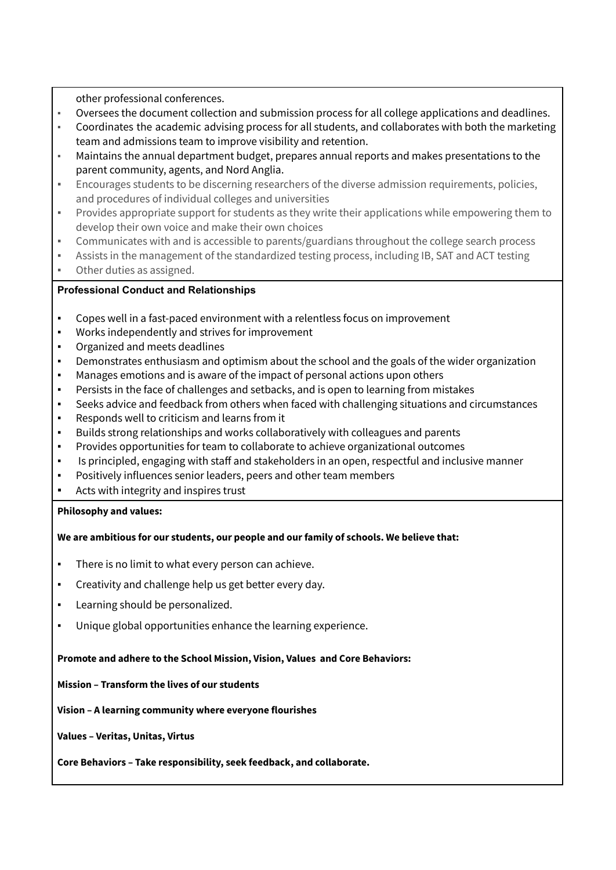other professional conferences.

- Oversees the document collection and submission process for all college applications and deadlines.
- Coordinates the academic advising process for all students, and collaborates with both the marketing team and admissions team to improve visibility and retention.
- Maintains the annual department budget, prepares annual reports and makes presentations to the parent community, agents, and Nord Anglia.
- Encourages students to be discerning researchers of the diverse admission requirements, policies, and procedures of individual colleges and universities
- Provides appropriate support for students as they write their applications while empowering them to develop their own voice and make their own choices
- Communicates with and is accessible to parents/guardians throughout the college search process
- Assists in the management of the standardized testing process, including IB, SAT and ACT testing
- Other duties as assigned.

# **Professional Conduct and Relationships**

- Copes well in a fast-paced environment with a relentless focus on improvement
- Works independently and strives for improvement
- Organized and meets deadlines
- Demonstrates enthusiasm and optimism about the school and the goals of the wider organization
- Manages emotions and is aware of the impact of personal actions upon others
- Persists in the face of challenges and setbacks, and is open to learning from mistakes
- Seeks advice and feedback from others when faced with challenging situations and circumstances
- Responds well to criticism and learns from it
- Builds strong relationships and works collaboratively with colleagues and parents
- Provides opportunities for team to collaborate to achieve organizational outcomes
- Is principled, engaging with staff and stakeholders in an open, respectful and inclusive manner
- Positively influences senior leaders, peers and other team members
- Acts with integrity and inspires trust

## **Philosophy and values:**

## **We are ambitious for our students, our people and our family of schools. We believe that:**

- There is no limit to what every person can achieve.
- Creativity and challenge help us get better every day.
- Learning should be personalized.
- Unique global opportunities enhance the learning experience.

#### **Promote and adhere to the School Mission, Vision, Values and Core Behaviors:**

## **Mission – Transform the lives of our students**

**Vision – A learning community where everyone flourishes**

**Values – Veritas, Unitas, Virtus**

**Core Behaviors – Take responsibility, seek feedback, and collaborate.**